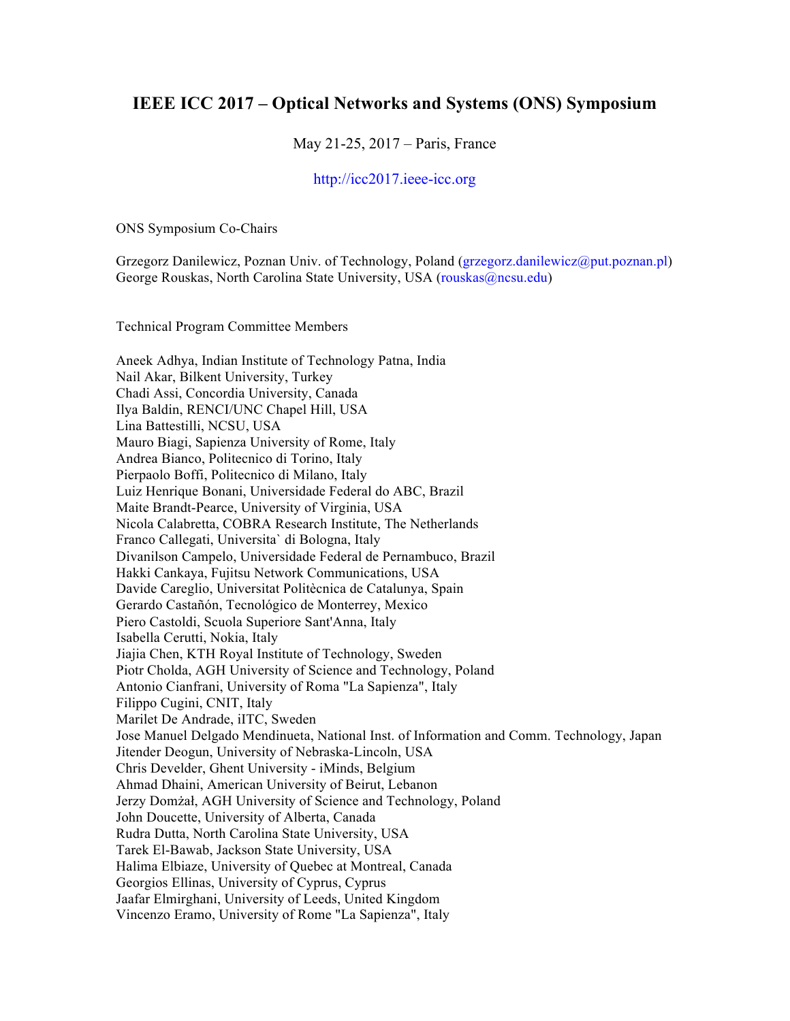## **IEEE ICC 2017 – Optical Networks and Systems (ONS) Symposium**

May 21-25, 2017 – Paris, France

## http://icc2017.ieee-icc.org

ONS Symposium Co-Chairs

Grzegorz Danilewicz, Poznan Univ. of Technology, Poland (grzegorz.danilewicz@put.poznan.pl) George Rouskas, North Carolina State University, USA (rouskas@ncsu.edu)

Technical Program Committee Members

Aneek Adhya, Indian Institute of Technology Patna, India Nail Akar, Bilkent University, Turkey Chadi Assi, Concordia University, Canada Ilya Baldin, RENCI/UNC Chapel Hill, USA Lina Battestilli, NCSU, USA Mauro Biagi, Sapienza University of Rome, Italy Andrea Bianco, Politecnico di Torino, Italy Pierpaolo Boffi, Politecnico di Milano, Italy Luiz Henrique Bonani, Universidade Federal do ABC, Brazil Maite Brandt-Pearce, University of Virginia, USA Nicola Calabretta, COBRA Research Institute, The Netherlands Franco Callegati, Universita` di Bologna, Italy Divanilson Campelo, Universidade Federal de Pernambuco, Brazil Hakki Cankaya, Fujitsu Network Communications, USA Davide Careglio, Universitat Politècnica de Catalunya, Spain Gerardo Castañón, Tecnológico de Monterrey, Mexico Piero Castoldi, Scuola Superiore Sant'Anna, Italy Isabella Cerutti, Nokia, Italy Jiajia Chen, KTH Royal Institute of Technology, Sweden Piotr Cholda, AGH University of Science and Technology, Poland Antonio Cianfrani, University of Roma "La Sapienza", Italy Filippo Cugini, CNIT, Italy Marilet De Andrade, iITC, Sweden Jose Manuel Delgado Mendinueta, National Inst. of Information and Comm. Technology, Japan Jitender Deogun, University of Nebraska-Lincoln, USA Chris Develder, Ghent University - iMinds, Belgium Ahmad Dhaini, American University of Beirut, Lebanon Jerzy Domżał, AGH University of Science and Technology, Poland John Doucette, University of Alberta, Canada Rudra Dutta, North Carolina State University, USA Tarek El-Bawab, Jackson State University, USA Halima Elbiaze, University of Quebec at Montreal, Canada Georgios Ellinas, University of Cyprus, Cyprus Jaafar Elmirghani, University of Leeds, United Kingdom Vincenzo Eramo, University of Rome "La Sapienza", Italy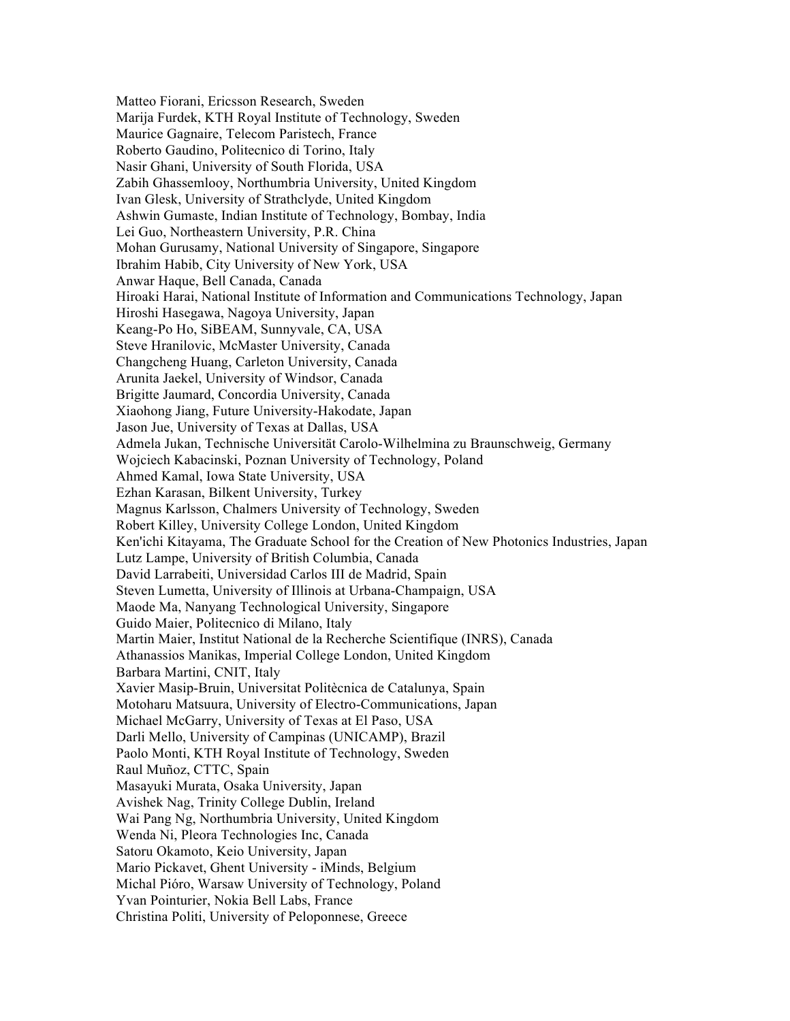Matteo Fiorani, Ericsson Research, Sweden Marija Furdek, KTH Royal Institute of Technology, Sweden Maurice Gagnaire, Telecom Paristech, France Roberto Gaudino, Politecnico di Torino, Italy Nasir Ghani, University of South Florida, USA Zabih Ghassemlooy, Northumbria University, United Kingdom Ivan Glesk, University of Strathclyde, United Kingdom Ashwin Gumaste, Indian Institute of Technology, Bombay, India Lei Guo, Northeastern University, P.R. China Mohan Gurusamy, National University of Singapore, Singapore Ibrahim Habib, City University of New York, USA Anwar Haque, Bell Canada, Canada Hiroaki Harai, National Institute of Information and Communications Technology, Japan Hiroshi Hasegawa, Nagoya University, Japan Keang-Po Ho, SiBEAM, Sunnyvale, CA, USA Steve Hranilovic, McMaster University, Canada Changcheng Huang, Carleton University, Canada Arunita Jaekel, University of Windsor, Canada Brigitte Jaumard, Concordia University, Canada Xiaohong Jiang, Future University-Hakodate, Japan Jason Jue, University of Texas at Dallas, USA Admela Jukan, Technische Universität Carolo-Wilhelmina zu Braunschweig, Germany Wojciech Kabacinski, Poznan University of Technology, Poland Ahmed Kamal, Iowa State University, USA Ezhan Karasan, Bilkent University, Turkey Magnus Karlsson, Chalmers University of Technology, Sweden Robert Killey, University College London, United Kingdom Ken'ichi Kitayama, The Graduate School for the Creation of New Photonics Industries, Japan Lutz Lampe, University of British Columbia, Canada David Larrabeiti, Universidad Carlos III de Madrid, Spain Steven Lumetta, University of Illinois at Urbana-Champaign, USA Maode Ma, Nanyang Technological University, Singapore Guido Maier, Politecnico di Milano, Italy Martin Maier, Institut National de la Recherche Scientifique (INRS), Canada Athanassios Manikas, Imperial College London, United Kingdom Barbara Martini, CNIT, Italy Xavier Masip-Bruin, Universitat Politècnica de Catalunya, Spain Motoharu Matsuura, University of Electro-Communications, Japan Michael McGarry, University of Texas at El Paso, USA Darli Mello, University of Campinas (UNICAMP), Brazil Paolo Monti, KTH Royal Institute of Technology, Sweden Raul Muñoz, CTTC, Spain Masayuki Murata, Osaka University, Japan Avishek Nag, Trinity College Dublin, Ireland Wai Pang Ng, Northumbria University, United Kingdom Wenda Ni, Pleora Technologies Inc, Canada Satoru Okamoto, Keio University, Japan Mario Pickavet, Ghent University - iMinds, Belgium Michal Pióro, Warsaw University of Technology, Poland Yvan Pointurier, Nokia Bell Labs, France Christina Politi, University of Peloponnese, Greece